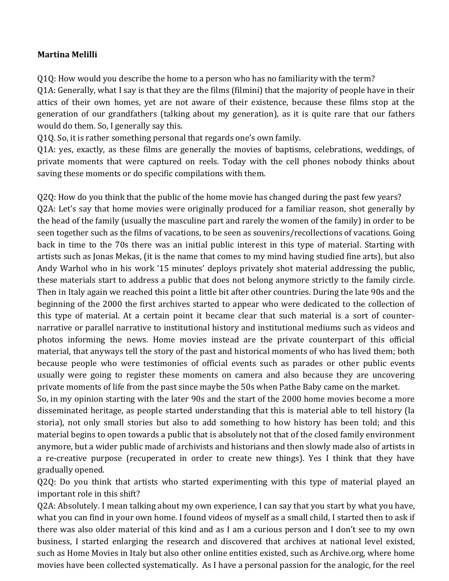## **Martina Melilli**

Q1Q: How would you describe the home to a person who has no familiarity with the term?

O1A: Generally, what I say is that they are the films (filmini) that the majority of people have in their attics of their own homes, yet are not aware of their existence, because these films stop at the generation of our grandfathers (talking about my generation), as it is quite rare that our fathers would do them. So, I generally say this.

Q1Q. So, it is rather something personal that regards one's own family.

Q1A: yes, exactly, as these films are generally the movies of baptisms, celebrations, weddings, of private moments that were captured on reels. Today with the cell phones nobody thinks about saving these moments or do specific compilations with them.

Q2Q: How do you think that the public of the home movie has changed during the past few years? Q2A: Let's say that home movies were originally produced for a familiar reason, shot generally by the head of the family (usually the masculine part and rarely the women of the family) in order to be seen together such as the films of vacations, to be seen as souvenirs/recollections of vacations. Going back in time to the 70s there was an initial public interest in this type of material. Starting with artists such as Jonas Mekas, (it is the name that comes to my mind having studied fine arts), but also Andy Warhol who in his work '15 minutes' deploys privately shot material addressing the public, these materials start to address a public that does not belong anymore strictly to the family circle. Then in Italy again we reached this point a little bit after other countries. During the late 90s and the beginning of the 2000 the first archives started to appear who were dedicated to the collection of this type of material. At a certain point it became clear that such material is a sort of counternarrative or parallel narrative to institutional history and institutional mediums such as videos and photos informing the news. Home movies instead are the private counterpart of this official material, that anyways tell the story of the past and historical moments of who has lived them; both because people who were testimonies of official events such as parades or other public events usually were going to register these moments on camera and also because they are uncovering private moments of life from the past since maybe the 50s when Pathe Baby came on the market.

So, in my opinion starting with the later 90s and the start of the 2000 home movies become a more disseminated heritage, as people started understanding that this is material able to tell history (la storia), not only small stories but also to add something to how history has been told; and this material begins to open towards a public that is absolutely not that of the closed family environment anymore, but a wider public made of archivists and historians and then slowly made also of artists in a re-creative purpose (recuperated in order to create new things). Yes I think that they have gradually opened.

Q2Q: Do you think that artists who started experimenting with this type of material played an important role in this shift?

Q2A: Absolutely. I mean talking about my own experience, I can say that you start by what you have, what you can find in your own home. I found videos of myself as a small child, I started then to ask if there was also older material of this kind and as I am a curious person and I don't see to my own business, I started enlarging the research and discovered that archives at national level existed, such as Home Movies in Italy but also other online entities existed, such as Archive.org, where home movies have been collected systematically. As I have a personal passion for the analogic, for the reel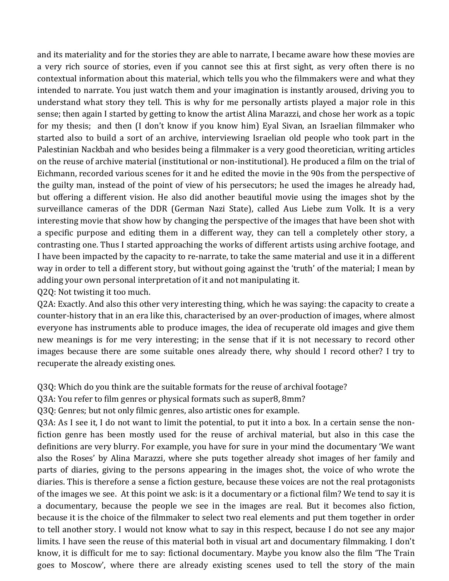and its materiality and for the stories they are able to narrate, I became aware how these movies are a very rich source of stories, even if you cannot see this at first sight, as very often there is no contextual information about this material, which tells you who the filmmakers were and what they intended to narrate. You just watch them and your imagination is instantly aroused, driving you to understand what story they tell. This is why for me personally artists played a major role in this sense; then again I started by getting to know the artist Alina Marazzi, and chose her work as a topic for my thesis; and then (I don't know if you know him) Eyal Sivan, an Israelian filmmaker who started also to build a sort of an archive, interviewing Israelian old people who took part in the Palestinian Nackbah and who besides being a filmmaker is a very good theoretician, writing articles on the reuse of archive material (institutional or non-institutional). He produced a film on the trial of Eichmann, recorded various scenes for it and he edited the movie in the 90s from the perspective of the guilty man, instead of the point of view of his persecutors; he used the images he already had, but offering a different vision. He also did another beautiful movie using the images shot by the surveillance cameras of the DDR (German Nazi State), called Aus Liebe zum Volk. It is a very interesting movie that show how by changing the perspective of the images that have been shot with a specific purpose and editing them in a different way, they can tell a completely other story, a contrasting one. Thus I started approaching the works of different artists using archive footage, and I have been impacted by the capacity to re-narrate, to take the same material and use it in a different way in order to tell a different story, but without going against the 'truth' of the material; I mean by adding your own personal interpretation of it and not manipulating it.

Q2Q: Not twisting it too much.

Q2A: Exactly. And also this other very interesting thing, which he was saying: the capacity to create a counter-history that in an era like this, characterised by an over-production of images, where almost everyone has instruments able to produce images, the idea of recuperate old images and give them new meanings is for me very interesting; in the sense that if it is not necessary to record other images because there are some suitable ones already there, why should I record other? I try to recuperate the already existing ones.

Q3Q: Which do you think are the suitable formats for the reuse of archival footage?

Q3A: You refer to film genres or physical formats such as super8, 8mm?

Q3Q: Genres; but not only filmic genres, also artistic ones for example.

Q3A: As I see it, I do not want to limit the potential, to put it into a box. In a certain sense the nonfiction genre has been mostly used for the reuse of archival material, but also in this case the definitions are very blurry. For example, you have for sure in your mind the documentary 'We want also the Roses' by Alina Marazzi, where she puts together already shot images of her family and parts of diaries, giving to the persons appearing in the images shot, the voice of who wrote the diaries. This is therefore a sense a fiction gesture, because these voices are not the real protagonists of the images we see. At this point we ask: is it a documentary or a fictional film? We tend to say it is a documentary, because the people we see in the images are real. But it becomes also fiction, because it is the choice of the filmmaker to select two real elements and put them together in order to tell another story. I would not know what to say in this respect, because I do not see any major limits. I have seen the reuse of this material both in visual art and documentary filmmaking. I don't know, it is difficult for me to say: fictional documentary. Maybe you know also the film 'The Train goes to Moscow', where there are already existing scenes used to tell the story of the main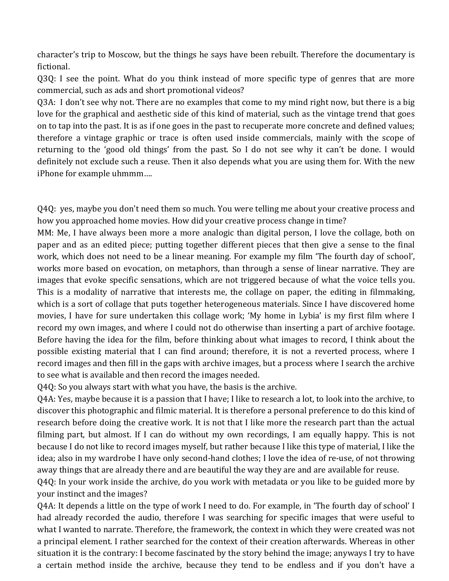character's trip to Moscow, but the things he says have been rebuilt. Therefore the documentary is fictional.

Q3Q: I see the point. What do you think instead of more specific type of genres that are more commercial, such as ads and short promotional videos?

Q3A: I don't see why not. There are no examples that come to my mind right now, but there is a big love for the graphical and aesthetic side of this kind of material, such as the vintage trend that goes on to tap into the past. It is as if one goes in the past to recuperate more concrete and defined values; therefore a vintage graphic or trace is often used inside commercials, mainly with the scope of returning to the 'good old things' from the past. So I do not see why it can't be done. I would definitely not exclude such a reuse. Then it also depends what you are using them for. With the new iPhone for example uhmmm....

Q4Q: yes, maybe you don't need them so much. You were telling me about your creative process and how you approached home movies. How did your creative process change in time?

MM: Me, I have always been more a more analogic than digital person, I love the collage, both on paper and as an edited piece; putting together different pieces that then give a sense to the final work, which does not need to be a linear meaning. For example my film 'The fourth day of school', works more based on evocation, on metaphors, than through a sense of linear narrative. They are images that evoke specific sensations, which are not triggered because of what the voice tells you. This is a modality of narrative that interests me, the collage on paper, the editing in filmmaking, which is a sort of collage that puts together heterogeneous materials. Since I have discovered home movies, I have for sure undertaken this collage work; 'My home in Lybia' is my first film where I record my own images, and where I could not do otherwise than inserting a part of archive footage. Before having the idea for the film, before thinking about what images to record, I think about the possible existing material that I can find around; therefore, it is not a reverted process, where I record images and then fill in the gaps with archive images, but a process where I search the archive to see what is available and then record the images needed.

Q4Q: So you always start with what you have, the basis is the archive.

Q4A: Yes, maybe because it is a passion that I have; I like to research a lot, to look into the archive, to discover this photographic and filmic material. It is therefore a personal preference to do this kind of research before doing the creative work. It is not that I like more the research part than the actual filming part, but almost. If I can do without my own recordings, I am equally happy. This is not because I do not like to record images myself, but rather because I like this type of material, I like the idea; also in my wardrobe I have only second-hand clothes; I love the idea of re-use, of not throwing away things that are already there and are beautiful the way they are and are available for reuse.

Q4Q: In your work inside the archive, do you work with metadata or you like to be guided more by your instinct and the images?

Q4A: It depends a little on the type of work I need to do. For example, in 'The fourth day of school' I had already recorded the audio, therefore I was searching for specific images that were useful to what I wanted to narrate. Therefore, the framework, the context in which they were created was not a principal element. I rather searched for the context of their creation afterwards. Whereas in other situation it is the contrary: I become fascinated by the story behind the image; anyways I try to have a certain method inside the archive, because they tend to be endless and if you don't have a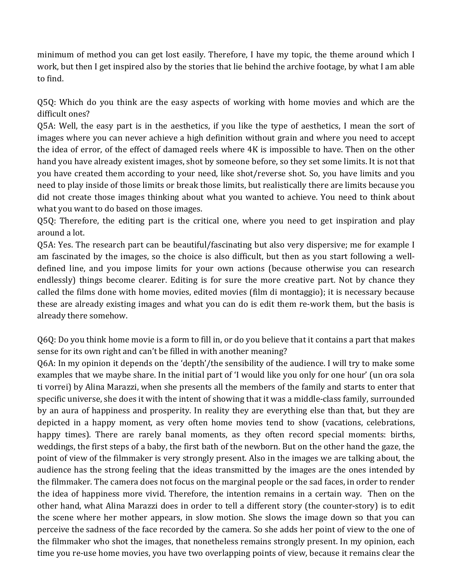minimum of method you can get lost easily. Therefore, I have my topic, the theme around which I work, but then I get inspired also by the stories that lie behind the archive footage, by what I am able to find.

Q5Q: Which do you think are the easy aspects of working with home movies and which are the difficult ones?

Q5A: Well, the easy part is in the aesthetics, if you like the type of aesthetics, I mean the sort of images where you can never achieve a high definition without grain and where you need to accept the idea of error, of the effect of damaged reels where 4K is impossible to have. Then on the other hand you have already existent images, shot by someone before, so they set some limits. It is not that you have created them according to your need, like shot/reverse shot. So, you have limits and you need to play inside of those limits or break those limits, but realistically there are limits because you did not create those images thinking about what you wanted to achieve. You need to think about what you want to do based on those images.

Q5Q: Therefore, the editing part is the critical one, where you need to get inspiration and play around a lot.

Q5A: Yes. The research part can be beautiful/fascinating but also very dispersive; me for example I am fascinated by the images, so the choice is also difficult, but then as you start following a welldefined line, and you impose limits for your own actions (because otherwise you can research endlessly) things become clearer. Editing is for sure the more creative part. Not by chance they called the films done with home movies, edited movies (film di montaggio); it is necessary because these are already existing images and what you can do is edit them re-work them, but the basis is already there somehow.

Q6Q: Do you think home movie is a form to fill in, or do you believe that it contains a part that makes sense for its own right and can't be filled in with another meaning?

Q6A: In my opinion it depends on the 'depth'/the sensibility of the audience. I will try to make some examples that we maybe share. In the initial part of 'I would like you only for one hour' (un ora sola ti vorrei) by Alina Marazzi, when she presents all the members of the family and starts to enter that specific universe, she does it with the intent of showing that it was a middle-class family, surrounded by an aura of happiness and prosperity. In reality they are everything else than that, but they are depicted in a happy moment, as very often home movies tend to show (vacations, celebrations, happy times). There are rarely banal moments, as they often record special moments: births, weddings, the first steps of a baby, the first bath of the newborn. But on the other hand the gaze, the point of view of the filmmaker is very strongly present. Also in the images we are talking about, the audience has the strong feeling that the ideas transmitted by the images are the ones intended by the filmmaker. The camera does not focus on the marginal people or the sad faces, in order to render the idea of happiness more vivid. Therefore, the intention remains in a certain way. Then on the other hand, what Alina Marazzi does in order to tell a different story (the counter-story) is to edit the scene where her mother appears, in slow motion. She slows the image down so that you can perceive the sadness of the face recorded by the camera. So she adds her point of view to the one of the filmmaker who shot the images, that nonetheless remains strongly present. In my opinion, each time you re-use home movies, you have two overlapping points of view, because it remains clear the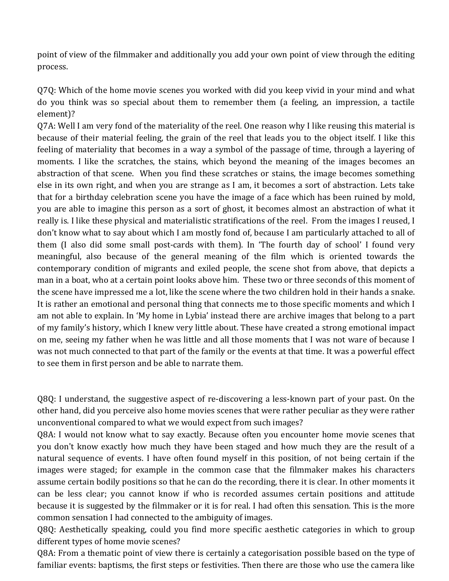point of view of the filmmaker and additionally you add your own point of view through the editing process.

Q7Q: Which of the home movie scenes you worked with did you keep vivid in your mind and what do you think was so special about them to remember them (a feeling, an impression, a tactile element)?

Q7A: Well I am very fond of the materiality of the reel. One reason why I like reusing this material is because of their material feeling, the grain of the reel that leads you to the object itself. I like this feeling of materiality that becomes in a way a symbol of the passage of time, through a layering of moments. I like the scratches, the stains, which beyond the meaning of the images becomes an abstraction of that scene. When you find these scratches or stains, the image becomes something else in its own right, and when you are strange as I am, it becomes a sort of abstraction. Lets take that for a birthday celebration scene you have the image of a face which has been ruined by mold, you are able to imagine this person as a sort of ghost, it becomes almost an abstraction of what it really is. I like these physical and materialistic stratifications of the reel. From the images I reused, I don't know what to say about which I am mostly fond of, because I am particularly attached to all of them (I also did some small post-cards with them). In 'The fourth day of school' I found very meaningful, also because of the general meaning of the film which is oriented towards the contemporary condition of migrants and exiled people, the scene shot from above, that depicts a man in a boat, who at a certain point looks above him. These two or three seconds of this moment of the scene have impressed me a lot, like the scene where the two children hold in their hands a snake. It is rather an emotional and personal thing that connects me to those specific moments and which I am not able to explain. In 'My home in Lybia' instead there are archive images that belong to a part of my family's history, which I knew very little about. These have created a strong emotional impact on me, seeing my father when he was little and all those moments that I was not ware of because I was not much connected to that part of the family or the events at that time. It was a powerful effect to see them in first person and be able to narrate them.

Q8Q: I understand, the suggestive aspect of re-discovering a less-known part of your past. On the other hand, did you perceive also home movies scenes that were rather peculiar as they were rather unconventional compared to what we would expect from such images?

Q8A: I would not know what to say exactly. Because often you encounter home movie scenes that you don't know exactly how much they have been staged and how much they are the result of a natural sequence of events. I have often found myself in this position, of not being certain if the images were staged; for example in the common case that the filmmaker makes his characters assume certain bodily positions so that he can do the recording, there it is clear. In other moments it can be less clear; you cannot know if who is recorded assumes certain positions and attitude because it is suggested by the filmmaker or it is for real. I had often this sensation. This is the more common sensation I had connected to the ambiguity of images.

Q8Q: Aesthetically speaking, could you find more specific aesthetic categories in which to group different types of home movie scenes?

Q8A: From a thematic point of view there is certainly a categorisation possible based on the type of familiar events: baptisms, the first steps or festivities. Then there are those who use the camera like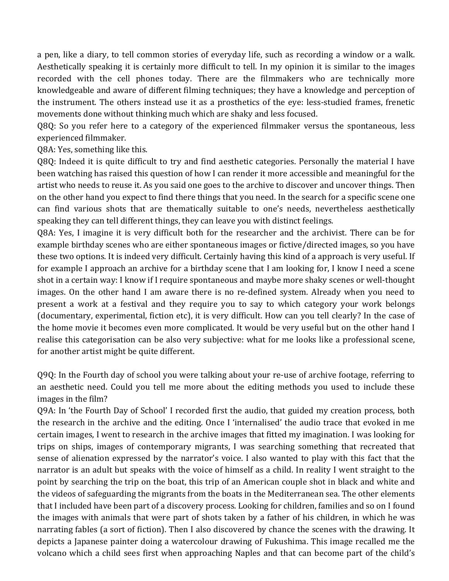a pen, like a diary, to tell common stories of everyday life, such as recording a window or a walk. Aesthetically speaking it is certainly more difficult to tell. In my opinion it is similar to the images recorded with the cell phones today. There are the filmmakers who are technically more knowledgeable and aware of different filming techniques; they have a knowledge and perception of the instrument. The others instead use it as a prosthetics of the eye: less-studied frames, frenetic movements done without thinking much which are shaky and less focused.

Q8Q: So you refer here to a category of the experienced filmmaker versus the spontaneous, less experienced filmmaker.

Q8A: Yes, something like this.

Q8Q: Indeed it is quite difficult to try and find aesthetic categories. Personally the material I have been watching has raised this question of how I can render it more accessible and meaningful for the artist who needs to reuse it. As you said one goes to the archive to discover and uncover things. Then on the other hand you expect to find there things that you need. In the search for a specific scene one can find various shots that are thematically suitable to one's needs, nevertheless aesthetically speaking they can tell different things, they can leave you with distinct feelings.

Q8A: Yes, I imagine it is very difficult both for the researcher and the archivist. There can be for example birthday scenes who are either spontaneous images or fictive/directed images, so you have these two options. It is indeed very difficult. Certainly having this kind of a approach is very useful. If for example I approach an archive for a birthday scene that I am looking for, I know I need a scene shot in a certain way: I know if I require spontaneous and maybe more shaky scenes or well-thought images. On the other hand I am aware there is no re-defined system. Already when you need to present a work at a festival and they require you to say to which category your work belongs (documentary, experimental, fiction etc), it is very difficult. How can you tell clearly? In the case of the home movie it becomes even more complicated. It would be very useful but on the other hand I realise this categorisation can be also very subjective: what for me looks like a professional scene, for another artist might be quite different.

Q9Q: In the Fourth day of school you were talking about your re-use of archive footage, referring to an aesthetic need. Could you tell me more about the editing methods you used to include these images in the film?

Q9A: In 'the Fourth Day of School' I recorded first the audio, that guided my creation process, both the research in the archive and the editing. Once I 'internalised' the audio trace that evoked in me certain images, I went to research in the archive images that fitted my imagination. I was looking for trips on ships, images of contemporary migrants, I was searching something that recreated that sense of alienation expressed by the narrator's voice. I also wanted to play with this fact that the narrator is an adult but speaks with the voice of himself as a child. In reality I went straight to the point by searching the trip on the boat, this trip of an American couple shot in black and white and the videos of safeguarding the migrants from the boats in the Mediterranean sea. The other elements that I included have been part of a discovery process. Looking for children, families and so on I found the images with animals that were part of shots taken by a father of his children, in which he was narrating fables (a sort of fiction). Then I also discovered by chance the scenes with the drawing. It depicts a Japanese painter doing a watercolour drawing of Fukushima. This image recalled me the volcano which a child sees first when approaching Naples and that can become part of the child's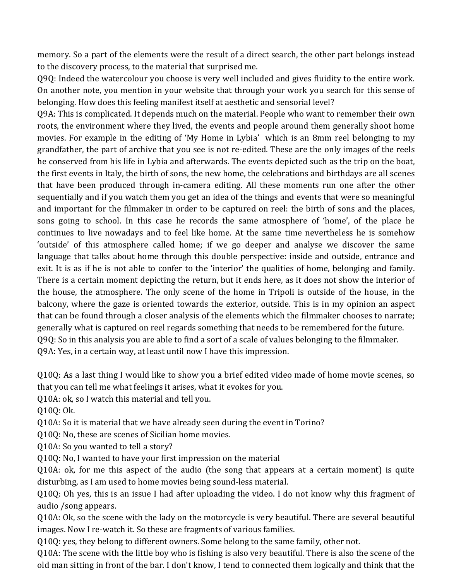memory. So a part of the elements were the result of a direct search, the other part belongs instead to the discovery process, to the material that surprised me.

Q9Q: Indeed the watercolour you choose is very well included and gives fluidity to the entire work. On another note, you mention in your website that through your work you search for this sense of belonging. How does this feeling manifest itself at aesthetic and sensorial level?

Q9A: This is complicated. It depends much on the material. People who want to remember their own roots, the environment where they lived, the events and people around them generally shoot home movies. For example in the editing of 'My Home in Lybia' which is an 8mm reel belonging to my grandfather, the part of archive that you see is not re-edited. These are the only images of the reels he conserved from his life in Lybia and afterwards. The events depicted such as the trip on the boat, the first events in Italy, the birth of sons, the new home, the celebrations and birthdays are all scenes that have been produced through in-camera editing. All these moments run one after the other sequentially and if you watch them you get an idea of the things and events that were so meaningful and important for the filmmaker in order to be captured on reel: the birth of sons and the places, sons going to school. In this case he records the same atmosphere of 'home', of the place he continues to live nowadays and to feel like home. At the same time nevertheless he is somehow 'outside' of this atmosphere called home; if we go deeper and analyse we discover the same language that talks about home through this double perspective: inside and outside, entrance and exit. It is as if he is not able to confer to the 'interior' the qualities of home, belonging and family. There is a certain moment depicting the return, but it ends here, as it does not show the interior of the house, the atmosphere. The only scene of the home in Tripoli is outside of the house, in the balcony, where the gaze is oriented towards the exterior, outside. This is in my opinion an aspect that can be found through a closer analysis of the elements which the filmmaker chooses to narrate; generally what is captured on reel regards something that needs to be remembered for the future. Q9Q: So in this analysis you are able to find a sort of a scale of values belonging to the filmmaker. Q9A: Yes, in a certain way, at least until now I have this impression.

Q10Q: As a last thing I would like to show you a brief edited video made of home movie scenes, so that you can tell me what feelings it arises, what it evokes for you.

Q10A: ok, so I watch this material and tell you.

 $Q10Q:$  Ok.

Q10A: So it is material that we have already seen during the event in Torino?

Q10Q: No, these are scenes of Sicilian home movies.

Q10A: So you wanted to tell a story?

Q10Q: No, I wanted to have your first impression on the material

 $Q10A$ : ok, for me this aspect of the audio (the song that appears at a certain moment) is quite disturbing, as I am used to home movies being sound-less material.

Q10Q: Oh yes, this is an issue I had after uploading the video. I do not know why this fragment of audio / song appears.

Q10A: Ok, so the scene with the lady on the motorcycle is very beautiful. There are several beautiful images. Now I re-watch it. So these are fragments of various families.

Q10Q: yes, they belong to different owners. Some belong to the same family, other not.

Q10A: The scene with the little boy who is fishing is also very beautiful. There is also the scene of the old man sitting in front of the bar. I don't know, I tend to connected them logically and think that the